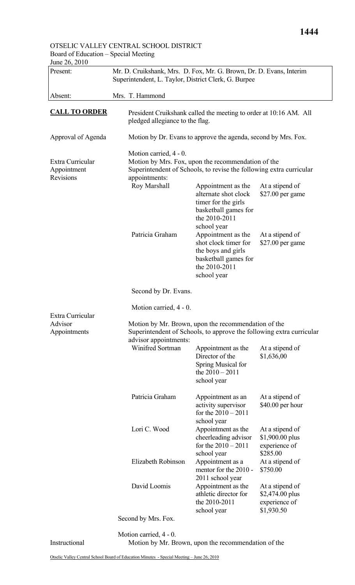## OTSELIC VALLEY CENTRAL SCHOOL DISTRICT Board of Education – Special Meeting

| Present:                                     | Mr. D. Cruikshank, Mrs. D. Fox, Mr. G. Brown, Dr. D. Evans, Interim<br>Superintendent, L. Taylor, District Clerk, G. Burpee                                          |                                                                                                                                                                         |                                                                            |  |  |
|----------------------------------------------|----------------------------------------------------------------------------------------------------------------------------------------------------------------------|-------------------------------------------------------------------------------------------------------------------------------------------------------------------------|----------------------------------------------------------------------------|--|--|
| Absent:                                      | Mrs. T. Hammond                                                                                                                                                      |                                                                                                                                                                         |                                                                            |  |  |
| <b>CALL TO ORDER</b>                         | President Cruikshank called the meeting to order at 10:16 AM. All<br>pledged allegiance to the flag.                                                                 |                                                                                                                                                                         |                                                                            |  |  |
| Approval of Agenda                           |                                                                                                                                                                      | Motion by Dr. Evans to approve the agenda, second by Mrs. Fox.                                                                                                          |                                                                            |  |  |
| Extra Curricular<br>Appointment<br>Revisions | Motion carried, 4 - 0.<br>Motion by Mrs. Fox, upon the recommendation of the<br>Superintendent of Schools, to revise the following extra curricular<br>appointments: |                                                                                                                                                                         |                                                                            |  |  |
|                                              | Roy Marshall<br>Patricia Graham                                                                                                                                      | Appointment as the<br>alternate shot clock<br>timer for the girls<br>basketball games for<br>the 2010-2011<br>school year<br>Appointment as the<br>shot clock timer for | At a stipend of<br>\$27.00 per game<br>At a stipend of<br>\$27.00 per game |  |  |
|                                              |                                                                                                                                                                      | the boys and girls<br>basketball games for<br>the 2010-2011<br>school year                                                                                              |                                                                            |  |  |
|                                              | Second by Dr. Evans.                                                                                                                                                 |                                                                                                                                                                         |                                                                            |  |  |
| Extra Curricular                             | Motion carried, 4 - 0.                                                                                                                                               |                                                                                                                                                                         |                                                                            |  |  |
| Advisor<br>Appointments                      | Motion by Mr. Brown, upon the recommendation of the<br>Superintendent of Schools, to approve the following extra curricular<br>advisor appointments:                 |                                                                                                                                                                         |                                                                            |  |  |
|                                              | Winifred Sortman                                                                                                                                                     | Appointment as the<br>Director of the<br>Spring Musical for<br>the $2010 - 2011$<br>school year                                                                         | At a stipend of<br>\$1,636,00                                              |  |  |
|                                              | Patricia Graham                                                                                                                                                      | Appointment as an<br>activity supervisor<br>for the $2010 - 2011$<br>school year                                                                                        | At a stipend of<br>\$40.00 per hour                                        |  |  |
|                                              | Lori C. Wood                                                                                                                                                         | Appointment as the<br>cheerleading advisor<br>for the $2010 - 2011$<br>school year                                                                                      | At a stipend of<br>\$1,900.00 plus<br>experience of<br>\$285.00            |  |  |
|                                              | Elizabeth Robinson                                                                                                                                                   | Appointment as a<br>mentor for the 2010 -<br>2011 school year                                                                                                           | At a stipend of<br>\$750.00                                                |  |  |
|                                              | David Loomis                                                                                                                                                         | Appointment as the<br>athletic director for<br>the 2010-2011                                                                                                            | At a stipend of<br>\$2,474.00 plus<br>experience of                        |  |  |
|                                              |                                                                                                                                                                      | school year                                                                                                                                                             | \$1,930.50                                                                 |  |  |